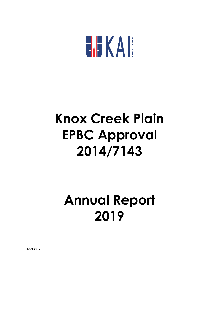

# **Knox Creek Plain EPBC Approval 2014/7143**

# **Annual Report 2019**

**April 2019**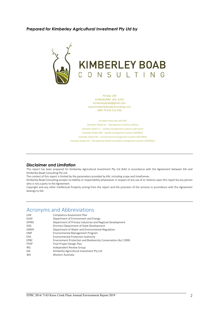#### *Prepared for Kimberley Agricultural Investment Pty Ltd by*



PO Box 149 KUNUNURRA WA 6743 [kimberleyboab@gmail.com](mailto:kimberleyboab@gmail.com) [www.kimberleyboabconsulting.com](http://www.kimberleyboabconsulting.com/) ABN 74 610 412 836

*Dr Debra Pearce BSc MA PhD Exemplar Global AU – Management systems auditing Exemplar Global TL – Leading management systems audit teams Exemplar Global QM – Quality management systems [ISO9001] Exemplar Global EM – Environmental management systems [ISO14001] Exemplar Global OH – Occupational Health and Safety management systems [ISO45001]*

#### *Disclaimer and Limitation*

This report has been prepared for Kimberley Agricultural Investment Pty Ltd (KAI) in accordance with the Agreement between KAI and Kimberley Boab Consulting Pty Ltd.

The content of this report is limited by the parameters provided by KAI, including scope and timeframes.

Kimberley Boab Consulting accepts no liability or responsibility whatsoever in respect of any use of or reliance upon this report by any person who is not a party to the Agreement.

Copyright and any other Intellectual Property arising from the report and the provision of the services in accordance with the Agreement belongs to KAI.

### Acronyms and Abbreviations

| CAR          | Compliance Assessment Plan                                      |
|--------------|-----------------------------------------------------------------|
| <b>DoEE</b>  | Department of Environment and Energy                            |
| <b>DPIRD</b> | Department of Primary Industries and Regional Development       |
| <b>DSD</b>   | (Former) Department of State Development                        |
| <b>DWER</b>  | Department of Water and Environmental Regulation                |
| <b>FMP</b>   | Environmental Management Program                                |
| <b>FPA</b>   | <b>Environmental Protection Authority</b>                       |
| FPBC         | Environment Protection and Biodiversity Conservation (Act 1999) |
| <b>FPDP</b>  | Final Project Design Plan                                       |
| IRG.         | Independent Review Group                                        |
| KAI          | Kimberley Agricultural Investment Pty Ltd                       |
| <b>WA</b>    | Western Australia                                               |
|              |                                                                 |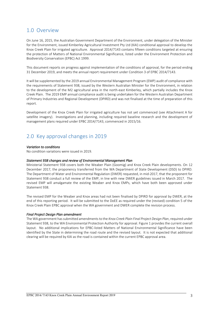### 1.0 Overview

On June 16, 2015, the Australian Government Department of the Environment, under delegation of the Minister for the Environment, issued Kimberley Agricultural Investment Pty Ltd (KAI) conditional approval to develop the Knox Creek Plain for irrigated agriculture. Approval 2014/7143 contains fifteen conditions targeted at ensuring the protection of Matters of National Environmental Significance, listed under the Environment Protection and Biodiversity Conservation (EPBC) Act 1999.

This document reports on progress against implementation of the conditions of approval, for the period ending 31 December 2019, and meets the annual report requirement under Condition 3 of EPBC 2014/7143.

It will be supplemented by the 2019 annual Environmental Management Program (EMP) audit of compliance with the requirements of Statement 938, issued by the Western Australian Minister for the Environment, in relation to the development of the M2 agricultural area in the north-east Kimberley, which partially includes the Knox Creek Plain. The 2019 EMP annual compliance audit is being undertaken for the Western Australian Department of Primary Industries and Regional Development (DPIRD) and was not finalised at the time of preparation of this report.

Development of the Knox Creek Plain for irrigated agriculture has not yet commenced (see Attachment A for satellite imagery). Investigations and planning, including required baseline research and the development of management plans required under EPBC 2014/7143, commenced in 2015/16.

## 2.0 Key approval changes in 2019

#### *Variation to conditions*

No condition variations were issued in 2019.

#### *Statement 938 changes and review of Environmental Management Plan*

Ministerial Statement 938 covers both the Weaber Plain (Goomig) and Knox Creek Plain developments. On 12 December 2017, the proponency transferred from the WA Department of State Development (DSD) to DPIRD. The Department of Water and Environmental Regulation (DWER) requested, in mid-2017, that the proponent for Statement 938 conduct a full review of the EMP, in line with new DWER guidelines issued in March 2017. The revised EMP will amalgamate the existing Weaber and Knox EMPs, which have both been approved under Statement 938.

The revised EMP for the Weaber and Knox areas had not been finalised by DPIRD for approval by DWER, at the end of this reporting period. It will be submitted to the DoEE as required under the (revised) condition 5 of the Knox Creek Plain EPBC approval when the WA government and DWER complete the revision process.

#### *Final Project Design Plan amendment*

The WA government has submitted amendments to the *Knox Creek Plain Final Project Design Plan*, required under Statement 938, to the WA Environmental Protection Authority for approval. Figure 1 provides the current overall layout. No additional implications for EPBC-listed Matters of National Environmental Significance have been identified by the State in determining the road route and the revised layout. It is not expected that additional clearing will be required by KAI as the road is contained within the current EPBC approval area.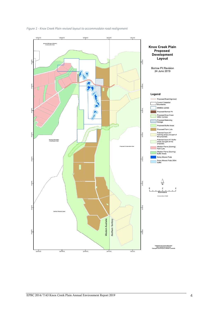

*Figure 1 - Knox Creek Plain revised layout to accommodate road realignment*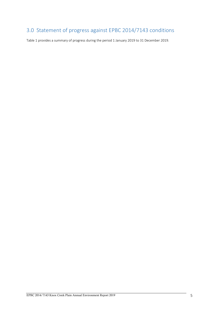## 3.0 Statement of progress against EPBC 2014/7143 conditions

Table 1 provides a summary of progress during the period 1 January 2019 to 31 December 2019.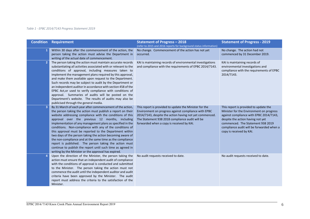#### *Table 1 - EPBC 2014/7143 Progress Statement 2019*

| <b>Condition</b> | Requirement                                                                                                                                                                                                                                                                                                                                                                                                                                                                                                                                                                                                                                                                                                                                | <b>Statement of Progress - 2018</b><br>(refer to 2015 and 2016 reports for background status information)                                                                                                                                                                 | <b>Statement of Progress - 2019</b>                                                                                                                                                                                                                                             |
|------------------|--------------------------------------------------------------------------------------------------------------------------------------------------------------------------------------------------------------------------------------------------------------------------------------------------------------------------------------------------------------------------------------------------------------------------------------------------------------------------------------------------------------------------------------------------------------------------------------------------------------------------------------------------------------------------------------------------------------------------------------------|---------------------------------------------------------------------------------------------------------------------------------------------------------------------------------------------------------------------------------------------------------------------------|---------------------------------------------------------------------------------------------------------------------------------------------------------------------------------------------------------------------------------------------------------------------------------|
|                  | Within 30 days after the commencement of the action, the<br>person taking the action must advise the Department in<br>writing of the actual date of commencement.                                                                                                                                                                                                                                                                                                                                                                                                                                                                                                                                                                          | No change. Commencement of the action has not yet<br>occurred.                                                                                                                                                                                                            | No change. The action had not<br>commenced by 31 December 2019.                                                                                                                                                                                                                 |
|                  | The person taking the action must maintain accurate records<br>substantiating all activities associated with or relevant to the<br>conditions of approval, including measures taken to<br>implement the management plans required by this approval,<br>and make them available upon request to the Department.<br>Such records may be subject to audit by the Department or<br>an independent auditor in accordance with section 458 of the<br>EPBC Act, or used to verify compliance with conditions of<br>approval. Summaries of audits will be posted on the<br>Department's website. The results of audits may also be<br>publicised through the general media.                                                                        | KAI is maintaining records of environmental investigations<br>and compliance with the requirements of EPBC 2014/7143.                                                                                                                                                     | KAI is maintaining records of<br>environmental investigations and<br>compliance with the requirements of EPBC<br>2014/7143.                                                                                                                                                     |
|                  | By 31 March of each year after commencement of the action,<br>the person taking the action must publish a report on their<br>website addressing compliance with the conditions of this<br>approval over the previous 12 months, including<br>implementation of any management plans as specified in the<br>conditions. Non-compliance with any of the conditions of<br>this approval must be reported to the Department within<br>two days of the person taking the action becoming aware of<br>the non-compliance and at the same time as the compliance<br>report is published. The person taking the action must<br>continue to publish the report until such time as agreed in<br>writing by the Minister or the approval has expired. | This report is provided to update the Minister for the<br>Environment on progress against compliance with EPBC<br>2014/7143, despite the action having not yet commenced.<br>The Statement 938 2018 compliance audit will be<br>forwarded when a copy is received by KAI. | This report is provided to update the<br>Minister for the Environment on progress<br>against compliance with EPBC 2014/7143,<br>despite the action having not yet<br>commenced. The Statement 938 2019<br>compliance audit will be forwarded when a<br>copy is received by KAI. |
|                  | Upon the direction of the Minister, the person taking the<br>action must ensure that an independent audit of compliance<br>with the conditions of approval is conducted and submitted<br>to the Minister. The person taking the action must not<br>commence the audit until the independent auditor and audit<br>criteria have been approved by the Minister. The audit<br>report must address the criteria to the satisfaction of the<br>Minister.                                                                                                                                                                                                                                                                                        | No audit requests received to date.                                                                                                                                                                                                                                       | No audit requests received to date.                                                                                                                                                                                                                                             |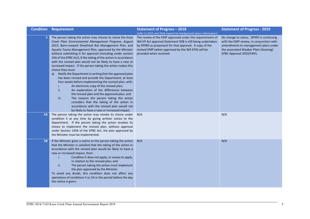|           | <b>Condition Requirement</b>                                                                                                                                                                                                                                                                                                                                                                                                                                                                                                                                                                                                                                                                                                                                                                                                                                                                                                                                                                                                                                        | <b>Statement of Progress - 2018</b>                                                                                                                                                                                                                              | <b>Statement of Progress - 2019</b>                                                                                                                                                              |
|-----------|---------------------------------------------------------------------------------------------------------------------------------------------------------------------------------------------------------------------------------------------------------------------------------------------------------------------------------------------------------------------------------------------------------------------------------------------------------------------------------------------------------------------------------------------------------------------------------------------------------------------------------------------------------------------------------------------------------------------------------------------------------------------------------------------------------------------------------------------------------------------------------------------------------------------------------------------------------------------------------------------------------------------------------------------------------------------|------------------------------------------------------------------------------------------------------------------------------------------------------------------------------------------------------------------------------------------------------------------|--------------------------------------------------------------------------------------------------------------------------------------------------------------------------------------------------|
|           |                                                                                                                                                                                                                                                                                                                                                                                                                                                                                                                                                                                                                                                                                                                                                                                                                                                                                                                                                                                                                                                                     | (refer to 2015 and 2016 reports for background status information)                                                                                                                                                                                               |                                                                                                                                                                                                  |
| 5         | The person taking the action may choose to revise the Knox<br>Creek Plain Environmental Management Program, August<br>2015; Bare-rumped Sheathtail Bat Management Plan; and<br>Aquatic Fauna Management Plan, approved by the Minister<br>without submitting it for approval (including under section<br>14A of the EPBC Act), if the taking of the action in accordance<br>with the revised plan would not be likely to have a new or<br>increased impact. If the person taking the action makes this<br>choice they must:<br>Notify the Department in writing that the approved plan<br>a)<br>has been revised and provide the Department, at least<br>four weeks before implementing the revised plan, with:<br>An electronic copy of the revised plan;<br>j.<br>ii.<br>An explanation of the differences between<br>the revised plan and the approved plan; and<br>The reasons the person taking the action<br>iii.<br>considers that the taking of the action in<br>accordance with the revised plan would not<br>be likely to have a new or increased impact. | The review of the EMP approved under the requirements of<br>WA EP Act approval Statement 938 is still being undertaken<br>by DPIRD as proponent for that approval. A copy of the<br>revised EMP (when approved by the WA EPA) will be<br>provided when received. | No change to status. DPIRD is continuing<br>with the EMP review, in conjunction with<br>amendments to management plans under<br>the associated Weaber Plain (Goomig)<br>EPBC Approval 2010/5491. |
| <b>5A</b> | The person taking the action may revoke its choice under<br>condition 5 at any time by giving written notice to the<br>Department. If the person taking the action revokes its<br>choice to implement the revised plan, without approval<br>under Section 143A of the EPBC Act, the plan approved by<br>the Minister must be implemented.                                                                                                                                                                                                                                                                                                                                                                                                                                                                                                                                                                                                                                                                                                                           | N/A                                                                                                                                                                                                                                                              | N/A                                                                                                                                                                                              |
| <b>5B</b> | If the Minister gives a notice to the person taking the action<br>that the Minister is satisfied that the taking of the action in<br>accordance with the revised plan would be likely to have a<br>new or increased impact, then:<br>Condition 5 does not apply, or ceases to apply,<br>i.<br>in relation to the revised plan; and<br>ii.<br>The person taking the action must implement<br>the plan approved by the Minister.<br>To avoid any doubt, this condition does not affect any<br>operations of conditions 5 or 5A in the period before the day<br>the notice is given.                                                                                                                                                                                                                                                                                                                                                                                                                                                                                   | N/A                                                                                                                                                                                                                                                              | N/A                                                                                                                                                                                              |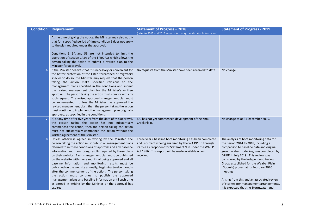|   | <b>Condition Requirement</b>                                                                                                                                                                                                                                                                                                                                                                                                                                                                                                                                                                                                                                                                                                                          | <b>Statement of Progress - 2018</b>                                                                                                                                                                                                              | <b>Statement of Progress - 2019</b>                                                                                                                                                                                                                                                                                                                                                                                                                                                     |
|---|-------------------------------------------------------------------------------------------------------------------------------------------------------------------------------------------------------------------------------------------------------------------------------------------------------------------------------------------------------------------------------------------------------------------------------------------------------------------------------------------------------------------------------------------------------------------------------------------------------------------------------------------------------------------------------------------------------------------------------------------------------|--------------------------------------------------------------------------------------------------------------------------------------------------------------------------------------------------------------------------------------------------|-----------------------------------------------------------------------------------------------------------------------------------------------------------------------------------------------------------------------------------------------------------------------------------------------------------------------------------------------------------------------------------------------------------------------------------------------------------------------------------------|
|   |                                                                                                                                                                                                                                                                                                                                                                                                                                                                                                                                                                                                                                                                                                                                                       | (refer to 2015 and 2016 reports for background status information)                                                                                                                                                                               |                                                                                                                                                                                                                                                                                                                                                                                                                                                                                         |
|   | At the time of giving the notice, the Minister may also notify<br>that for a specified period of time condition 5 does not apply<br>to the plan required under the approval.                                                                                                                                                                                                                                                                                                                                                                                                                                                                                                                                                                          |                                                                                                                                                                                                                                                  |                                                                                                                                                                                                                                                                                                                                                                                                                                                                                         |
|   | Conditions 5, 5A and 5B are not intended to limit the<br>operation of section 143A of the EPBC Act which allows the<br>person taking the action to submit a revised plan to the<br>Minister for approval.                                                                                                                                                                                                                                                                                                                                                                                                                                                                                                                                             |                                                                                                                                                                                                                                                  |                                                                                                                                                                                                                                                                                                                                                                                                                                                                                         |
| 6 | If the Minister believes that it is necessary or convenient for<br>the better protection of the listed threatened or migratory<br>species to do so, the Minister may request that the person<br>taking the action make specified revisions to the<br>management plans specified in the conditions and submit<br>the revised management plan for the Minister's written<br>approval. The person taking the action must comply with any<br>such request. The revised approved management plan must<br>be implemented. Unless the Minister has approved the<br>revised management plan, then the person taking the action<br>must continue to implement the management plan originally<br>approved, as specified in the conditions.                      | No requests from the Minister have been received to date.                                                                                                                                                                                        | No change.                                                                                                                                                                                                                                                                                                                                                                                                                                                                              |
| 7 | If, at any time after five years from the date of this approval,<br>the person taking the action has not substantially<br>commenced the action, then the person taking the action<br>must not substantially commence the action without the<br>written agreement of the Minister.                                                                                                                                                                                                                                                                                                                                                                                                                                                                     | KAI has not yet commenced development of the Knox<br>Creek Plain.                                                                                                                                                                                | No change as at 31 December 2019.                                                                                                                                                                                                                                                                                                                                                                                                                                                       |
| 8 | Unless otherwise agreed in writing by the Minister, the<br>person taking the action must publish all management plans<br>referred to in these conditions of approval and any baseline<br>information and monitoring results required by these plans<br>on their website. Each management plan must be published<br>on the website within one month of being approved and all<br>baseline information and monitoring results must be<br>published on the website annually, beginning twelve months<br>after the commencement of the action. The person taking<br>the action must continue to publish the approved<br>management plans and baseline information until such time<br>as agreed in writing by the Minister or the approval has<br>expired. | Three years' baseline bore monitoring has been completed<br>and is currently being analysed by the WA DPIRD through<br>its role as Proponent for Statement 938 under the WA EP<br>Act 1986. This report will be made available when<br>received. | The analysis of bore monitoring data for<br>the period 2014 to 2018, including a<br>comparison to baseline data and original<br>groundwater modelling, was completed by<br>DPIRD in July 2019. This review was<br>considered by the Independent Review<br>Group established for the Weaber Plain<br>(Goomig) project at its February 2020<br>meeting.<br>Arising from this and an associated review<br>of stormwater management arrangements,<br>it is expected that the Stormwater and |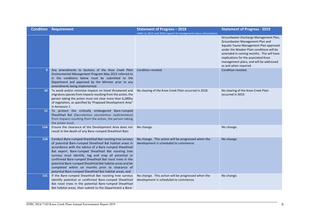|            | <b>Condition Requirement</b>                                                                                                                                                                                                                                                                                                                                                                                                                                                                                                          | <b>Statement of Progress - 2018</b>                                                         | <b>Statement of Progress - 2019</b>                                                                                                                                                                                                                                                                                      |
|------------|---------------------------------------------------------------------------------------------------------------------------------------------------------------------------------------------------------------------------------------------------------------------------------------------------------------------------------------------------------------------------------------------------------------------------------------------------------------------------------------------------------------------------------------|---------------------------------------------------------------------------------------------|--------------------------------------------------------------------------------------------------------------------------------------------------------------------------------------------------------------------------------------------------------------------------------------------------------------------------|
|            |                                                                                                                                                                                                                                                                                                                                                                                                                                                                                                                                       | (refer to 2015 and 2016 reports for background status information)                          | Groundwater Discharge Management Plan,<br>Groundwater Management Plan and<br>Aquatic Fauna Management Plan approved<br>under the Weaber Plain conditions will be<br>amended in coming months. This will have<br>implications for the associated Knox<br>management plans, and will be addressed<br>as and when required. |
| 9          | Any amendments to Sections of the Knox Creek Plain<br>Environmental Management Program May 2015 referred to<br>in the conditions below must be submitted to the<br>Department and approved by the Minister prior to any<br>amendments being implemented.                                                                                                                                                                                                                                                                              | Condition revoked.                                                                          | Condition revoked.                                                                                                                                                                                                                                                                                                       |
| 10         | To avoid and/or minimise impacts on listed threatened and<br>migratory species from impacts resulting from the action, the<br>person taking the action must not clear more than 6,280ha<br>of vegetation, as specified by 'Proposed Development Area"<br>in Annexure 1.                                                                                                                                                                                                                                                               | No clearing of the Knox Creek Plain occurred in 2018.                                       | No clearing of the Knox Creek Plain<br>occurred in 2019.                                                                                                                                                                                                                                                                 |
| 11         | To protect the critically endangered Bare-rumped<br>Sheathtail Bat (Saccolaimus saccolaimus nudicluniatus)<br>from impacts resulting from the action, the person taking<br>the action must:                                                                                                                                                                                                                                                                                                                                           |                                                                                             |                                                                                                                                                                                                                                                                                                                          |
| <b>11A</b> | Ensure the clearance of the Development Area does not<br>result in the death of any Bare-rumped Sheathtail Bats                                                                                                                                                                                                                                                                                                                                                                                                                       | No change.                                                                                  | No change.                                                                                                                                                                                                                                                                                                               |
| <b>11B</b> | Conduct Bare-rumped Sheathtail Bat roosting tree surveys<br>of potential Bare-rumped Sheathtail Bat habitat areas in<br>accordance with the advice of a Bare-rumped Sheathtail<br>Bat expert. Bare-rumped Sheathtail Bat roosting tree<br>surveys must identify, tag and map all potential or<br>confirmed Bare-rumped Sheathtail Bat roost trees in the<br>potential Bare-rumped Sheathtail Bat habitat areas and be<br>completed within six months prior to clearance of<br>potential Bare-rumped Sheathtail Bat habitat areas; and | No change. This action will be progressed when the<br>development is scheduled to commence. | No change.                                                                                                                                                                                                                                                                                                               |
| <b>11C</b> | If the Bare-rumped Sheathtail Bat roosting tree surveys<br>identify potential or confirmed Bare-rumped Sheathtail<br>Bat roost trees in the potential Bare-rumped Sheathtail<br>Bat habitat areas, then submit to the Department a Bare-                                                                                                                                                                                                                                                                                              | No change. This action will be progressed when the<br>development is scheduled to commence. | No change.                                                                                                                                                                                                                                                                                                               |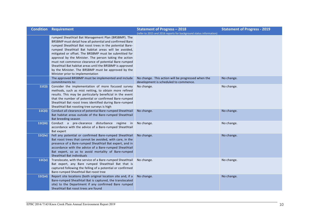|                | <b>Condition Requirement</b>                                                                                             | <b>Statement of Progress - 2018</b>                                | <b>Statement of Progress - 2019</b> |
|----------------|--------------------------------------------------------------------------------------------------------------------------|--------------------------------------------------------------------|-------------------------------------|
|                |                                                                                                                          | (refer to 2015 and 2016 reports for background status information) |                                     |
|                | rumped Sheathtail Bat Management Plan (BRSBMP). The                                                                      |                                                                    |                                     |
|                | BRSBMP must detail how all potential and confirmed Bare                                                                  |                                                                    |                                     |
|                | rumped Sheathtail Bat roost trees in the potential Bare-                                                                 |                                                                    |                                     |
|                | rumped Sheathtail Bat habitat areas will be avoided,                                                                     |                                                                    |                                     |
|                | mitigated or offset. The BRSBMP must be submitted for                                                                    |                                                                    |                                     |
|                | approval by the Minister. The person taking the action<br>must not commence clearance of potential Bare-rumped           |                                                                    |                                     |
|                | Sheathtail Bat habitat areas until the BRSBMP is approved                                                                |                                                                    |                                     |
|                | by the Minister. The BRSBMP must be approved by the                                                                      |                                                                    |                                     |
|                | Minister prior to implementation                                                                                         |                                                                    |                                     |
|                | The approved BRSBMP must be implemented and include                                                                      | No change. This action will be progressed when the                 | No change.                          |
|                | commitments to:                                                                                                          | development is scheduled to commence.                              |                                     |
| 11C(i)         | Consider the implementation of more focused survey                                                                       | No change.                                                         | No change.                          |
|                | methods, such as mist netting, to obtain more refined                                                                    |                                                                    |                                     |
|                | results. This may be particularly beneficial in the event                                                                |                                                                    |                                     |
|                | that the number of potential or confirmed Bare-rumped                                                                    |                                                                    |                                     |
|                | Sheathtail Bat roost trees identified during Bare-rumped                                                                 |                                                                    |                                     |
|                | Sheathtail Bat roosting tree surveys is high                                                                             |                                                                    |                                     |
| 11C(ii)        | Conduct all clearance of potential Bare-rumped Sheathtail                                                                | No change.                                                         | No change.                          |
|                | Bat habitat areas outside of the Bare-rumped Sheathtail<br>Bat breeding season                                           |                                                                    |                                     |
| 11C(iii)       | Conduct a pre-clearance disturbance regime in                                                                            | No change.                                                         | No change.                          |
|                | accordance with the advice of a Bare-rumped Sheathtail                                                                   |                                                                    |                                     |
|                | Bat expert                                                                                                               |                                                                    |                                     |
| <b>11C(iv)</b> | Fell any potential or confirmed Bare-rumped Sheathtail                                                                   | No change.                                                         | No change.                          |
|                | Bat roost trees that cannot be avoided, with care, in the                                                                |                                                                    |                                     |
|                | presence of a Bare-rumped Sheathtail Bat expert, and in                                                                  |                                                                    |                                     |
|                | accordance with the advice of a Bare-rumped Sheathtail                                                                   |                                                                    |                                     |
|                | Bat expert, so as to avoid mortality of Bare-rumped                                                                      |                                                                    |                                     |
|                | Sheathtail Bat individuals                                                                                               |                                                                    |                                     |
| 11C(v)         | Translocate, with the service of a Bare-rumped Sheathtail                                                                | No change.                                                         | No change.                          |
|                | Bat expert, any Bare rumped Sheathtail Bat that is                                                                       |                                                                    |                                     |
|                | captured following the felling of a potential or confirmed                                                               |                                                                    |                                     |
|                | Bare-rumped Sheathtail Bat roost tree                                                                                    |                                                                    |                                     |
| 11C(vi)        | Report site locations (both original location site and, if a<br>Bare-rumped Sheathtail Bat is captured, the translocated | No change.                                                         | No change.                          |
|                | site) to the Department if any confirmed Bare rumped                                                                     |                                                                    |                                     |
|                | Sheathtail Bat roost trees are found                                                                                     |                                                                    |                                     |
|                |                                                                                                                          |                                                                    |                                     |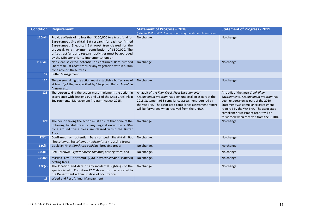|                | <b>Condition Requirement</b>                                                                                                                                                                                                                                                                                                                           | <b>Statement of Progress - 2018</b>                                                                                                                                                                                                                                           | <b>Statement of Progress - 2019</b>                                                                                                                                                                                                                                                 |
|----------------|--------------------------------------------------------------------------------------------------------------------------------------------------------------------------------------------------------------------------------------------------------------------------------------------------------------------------------------------------------|-------------------------------------------------------------------------------------------------------------------------------------------------------------------------------------------------------------------------------------------------------------------------------|-------------------------------------------------------------------------------------------------------------------------------------------------------------------------------------------------------------------------------------------------------------------------------------|
|                |                                                                                                                                                                                                                                                                                                                                                        | (refer to 2015 and 2016 reports for background status information)                                                                                                                                                                                                            |                                                                                                                                                                                                                                                                                     |
| 11C(vii)       | Provide offsets of no less than \$100,000 to a trust fund for<br>Bare-rumped Sheathtail Bat research for each confirmed<br>Bare-rumped Sheathtail Bat roost tree cleared for the<br>proposal, to a maximum contribution of \$500,000. The<br>offset trust fund and research activities must be approved<br>by the Minister prior to implementation; or | No change.                                                                                                                                                                                                                                                                    | No change.                                                                                                                                                                                                                                                                          |
| 11C(viii)      | Not clear selected potential or confirmed Bare-rumped<br>Sheathtail Bat roost trees or any vegetation within a 30m<br>zone around these trees                                                                                                                                                                                                          | No change.                                                                                                                                                                                                                                                                    | No change.                                                                                                                                                                                                                                                                          |
| 12             | <b>Buffer Management</b>                                                                                                                                                                                                                                                                                                                               |                                                                                                                                                                                                                                                                               |                                                                                                                                                                                                                                                                                     |
| 12A            | The person taking the action must establish a buffer area of<br>at least 6,415ha, as specified by "Proposed Buffer Areas" in<br>Annexure 1.                                                                                                                                                                                                            | No change.                                                                                                                                                                                                                                                                    | No change.                                                                                                                                                                                                                                                                          |
| 12B            | The person taking the action must implement the action in<br>accordance with Sections 10 and 11 of the Knox Creek Plain<br>Environmental Management Program, August 2015.                                                                                                                                                                              | An audit of the Knox Creek Plain Environmental<br>Management Program has been undertaken as part of the<br>2018 Statement 938 compliance assessment required by<br>the WA EPA. The associated compliance assessment report<br>will be forwarded when received from the DPIRD. | An audit of the Knox Creek Plain<br>Environmental Management Program has<br>been undertaken as part of the 2019<br>Statement 938 compliance assessment<br>required by the WA EPA. The associated<br>compliance assessment report will be<br>forwarded when received from the DPIRD. |
| 12C            | The person taking the action must ensure that none of the<br>following habitat trees or any vegetation within a 30m<br>zone around these trees are cleared within the Buffer<br>Area:                                                                                                                                                                  | No change.                                                                                                                                                                                                                                                                    | No change.                                                                                                                                                                                                                                                                          |
| 12C(i)         | Confirmed or potential Bare-rumped Sheathtail Bat<br>(Saccolaimus Saccolaimus nudicluniatus) roosting trees;                                                                                                                                                                                                                                           | No change.                                                                                                                                                                                                                                                                    | No change.                                                                                                                                                                                                                                                                          |
| 12C(ii)        | Gouldian Finch (Erythrura gouldiae) breeding trees;                                                                                                                                                                                                                                                                                                    | No change.                                                                                                                                                                                                                                                                    | No change.                                                                                                                                                                                                                                                                          |
| 12C(iii)       | Red Goshawk (Erythrotiorchis radiatus) nesting trees; and                                                                                                                                                                                                                                                                                              | No change.                                                                                                                                                                                                                                                                    | No change.                                                                                                                                                                                                                                                                          |
| <b>12C(iv)</b> | Masked Owl (Northern) (Tyto novaehollandiae kimberli)<br>nesting trees.                                                                                                                                                                                                                                                                                | No change.                                                                                                                                                                                                                                                                    | No change.                                                                                                                                                                                                                                                                          |
| 12C(v)         | The location and date of any incidental sightings of the<br>species listed in Condition 12.C above must be reported to<br>the Department within 30 days of occurrence.                                                                                                                                                                                 | No change.                                                                                                                                                                                                                                                                    | No change.                                                                                                                                                                                                                                                                          |
| 13             | Weed and Pest Animal Management                                                                                                                                                                                                                                                                                                                        |                                                                                                                                                                                                                                                                               |                                                                                                                                                                                                                                                                                     |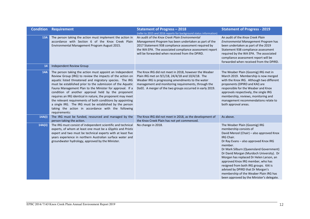|            | <b>Condition Requirement</b>                                                                                                                                                                                                                                                                                                                                                                                                                                                                                                                                                                                                      | <b>Statement of Progress - 2018</b><br>(refer to 2015 and 2016 reports for background status information)                                                                                                                                                                          | <b>Statement of Progress - 2019</b>                                                                                                                                                                                                                                                                                                                                                                                                                                                                                |
|------------|-----------------------------------------------------------------------------------------------------------------------------------------------------------------------------------------------------------------------------------------------------------------------------------------------------------------------------------------------------------------------------------------------------------------------------------------------------------------------------------------------------------------------------------------------------------------------------------------------------------------------------------|------------------------------------------------------------------------------------------------------------------------------------------------------------------------------------------------------------------------------------------------------------------------------------|--------------------------------------------------------------------------------------------------------------------------------------------------------------------------------------------------------------------------------------------------------------------------------------------------------------------------------------------------------------------------------------------------------------------------------------------------------------------------------------------------------------------|
| 13A        | The person taking the action must implement the action in<br>accordance with Section 6 of the Knox Creek Plain<br>Environmental Management Program August 2015.                                                                                                                                                                                                                                                                                                                                                                                                                                                                   | An audit of the Knox Creek Plain Environmental<br>Management Program has been undertaken as part of the<br>2017 Statement 938 compliance assessment required by<br>the WA EPA. The associated compliance assessment report<br>will be forwarded when received from the DPIRD.      | An audit of the Knox Creek Plain<br>Environmental Management Program has<br>been undertaken as part of the 2019<br>Statement 938 compliance assessment<br>required by the WA EPA. The associated<br>compliance assessment report will be<br>forwarded when received from the DPIRD.                                                                                                                                                                                                                                |
| 14         | Independent Review Group                                                                                                                                                                                                                                                                                                                                                                                                                                                                                                                                                                                                          |                                                                                                                                                                                                                                                                                    |                                                                                                                                                                                                                                                                                                                                                                                                                                                                                                                    |
| <b>14A</b> | The person taking the action must appoint an Independent<br>Review Group (IRG) to review the impacts of the action on<br>aquatic listed threatened and migratory species. The IRG<br>must be established prior to the submission of the Aquatic<br>Fauna Management Plan to the Minister for approval. If a<br>condition of another approval held by the proponent<br>requires an IRG identical in nature, the proponent may meet<br>the relevant requirements of both conditions by appointing<br>a single IRG. The IRG must be established by the person<br>taking the action in accordance with the following<br>requirements: | The Knox IRG did not meet in 2018, however the Weaber<br>Plain IRG met on 9/1/18, 24/4/18 and 10/4/18. The<br>Weaber IRG is progressing amendments to the water<br>management and monitoring requirements, through the<br>DoEE. A merger of the two groups occurred in early 2019. | The Weaber Plain (Goomig) IRG met in<br>March 2019. Membership is now merged<br>with the Knox IRG. Although two different<br>proponents (DPIRD and KAI) are<br>responsible for the Weaber and Knox<br>approvals respectively, the single IRG<br>membership, reviews, monitoring and<br>management recommendations relate to<br>both approval areas.                                                                                                                                                                |
| 14A(i)     | The IRG must be funded, resourced and managed by the<br>person taking the action.                                                                                                                                                                                                                                                                                                                                                                                                                                                                                                                                                 | The Knox IRG did not meet in 2018, as the development of<br>the Knox Creek Plain has not yet commenced.                                                                                                                                                                            | As above.                                                                                                                                                                                                                                                                                                                                                                                                                                                                                                          |
| 14A(ii)    | The IRG must consist of independent scientific and technical<br>experts, of whom at least one must be a Glyphis and Pristis<br>expert and two must be technical experts with at least five<br>years experience in northern Australian surface water and<br>groundwater hydrology, approved by the Minister.                                                                                                                                                                                                                                                                                                                       | No change in 2018.                                                                                                                                                                                                                                                                 | The Weaber Plain (Goomig) IRG<br>membership consists of<br>David Menzel (Chair) – also approved Knox<br>IRG Chair.<br>Dr Ray Evans - also approved Knox IRG<br>member.<br>Dr Mark Silburn (Queensland Government)<br>Dr David Morgan (Murdoch University). Dr<br>Morgan has replaced Dr Helen Larson, an<br>approved Knox IRG member, who has<br>resigned from both IRG groups. KAI is<br>advised by DPIRD that Dr Morgan's<br>membership of the Weaber Plain IRG has<br>been approved by the Minister's delegate. |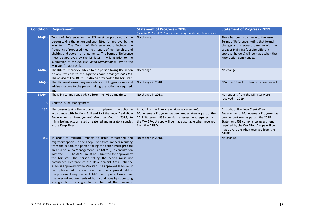|            | <b>Condition Requirement</b>                                                                                                                                                                                                                                                                                                                                                                                                                                                                                                                                                                                                                                                                                                              | <b>Statement of Progress - 2018</b>                                                                                                                                                                                                           | <b>Statement of Progress - 2019</b>                                                                                                                                                                                                                 |
|------------|-------------------------------------------------------------------------------------------------------------------------------------------------------------------------------------------------------------------------------------------------------------------------------------------------------------------------------------------------------------------------------------------------------------------------------------------------------------------------------------------------------------------------------------------------------------------------------------------------------------------------------------------------------------------------------------------------------------------------------------------|-----------------------------------------------------------------------------------------------------------------------------------------------------------------------------------------------------------------------------------------------|-----------------------------------------------------------------------------------------------------------------------------------------------------------------------------------------------------------------------------------------------------|
| 14A(iii)   | Terms of Reference for the IRG must be prepared by the<br>person taking the action and submitted for approval by the<br>Minister. The Terms of Reference must include the<br>frequency of proposed meetings, tenure of membership, and<br>chairing and quorum arrangements. The Terms of Reference<br>must be approved by the Minister in writing prior to the<br>submission of the Aquatic Fauna Management Plan to the<br>Minister for approval.                                                                                                                                                                                                                                                                                        | (refer to 2015 and 2016 reports for background status information)<br>No change.                                                                                                                                                              | There has been no change to the Knox<br>Terms of Reference, noting that formal<br>changes and a request to merge with the<br>Weaber Plain IRG (despite different<br>approval holders) will be made when the<br>Knox action commences.               |
| 14A(iv)    | The IRG must provide advice to the person taking the action<br>on any revisions to the Aquatic Fauna Management Plan.<br>The advice of the IRG must also be provided to the Minister.                                                                                                                                                                                                                                                                                                                                                                                                                                                                                                                                                     | No change.                                                                                                                                                                                                                                    | No change.                                                                                                                                                                                                                                          |
| 14A(v)     | The IRG must assess any exceedances of trigger values and<br>advise changes to the person taking the action as required;<br>and                                                                                                                                                                                                                                                                                                                                                                                                                                                                                                                                                                                                           | No change in 2018.                                                                                                                                                                                                                            | N/A in 2019 as Knox has not commenced.                                                                                                                                                                                                              |
| 14A(vi)    | The Minister may seek advice from the IRG at any time.                                                                                                                                                                                                                                                                                                                                                                                                                                                                                                                                                                                                                                                                                    | No change in 2018.                                                                                                                                                                                                                            | No requests from the Minister were<br>received in 2019.                                                                                                                                                                                             |
| 15         | Aquatic Fauna Management.                                                                                                                                                                                                                                                                                                                                                                                                                                                                                                                                                                                                                                                                                                                 |                                                                                                                                                                                                                                               |                                                                                                                                                                                                                                                     |
| <b>15A</b> | The person taking the action must implement the action in<br>accordance with Sections 7, 8 and 9 of the Knox Creek Plain<br>Environmental Management Program August 2015, to<br>minimise impacts on listed threatened and migratory species<br>in the Keep River.                                                                                                                                                                                                                                                                                                                                                                                                                                                                         | An audit of the Knox Creek Plain Environmental<br>Management Program has been undertaken as part of the<br>2018 Statement 938 compliance assessment required by<br>the WA EPA. A copy will be made available when received<br>from the DPIRD. | An audit of the Knox Creek Plain<br>Environmental Management Program has<br>been undertaken as part of the 2019<br>Statement 938 compliance assessment<br>required by the WA EPA. A copy will be<br>made available when received from the<br>DPIRD. |
| <b>15B</b> | In order to mitigate impacts to listed threatened and<br>migratory species in the Keep River from impacts resulting<br>from the action, the person taking the action must prepare<br>an Aquatic Fauna Management Plan (AFMP), in consultation<br>with the IRG. The AFMP must be submitted for approval by<br>the Minister. The person taking the action must not<br>commence clearance of the Development Area until the<br>AFMP is approved by the Minister. The approved AFMP must<br>be implemented. If a condition of another approval held by<br>the proponent requires an AFMP, the proponent may meet<br>the relevant requirements of both conditions by submitting<br>a single plan. If a single plan is submitted, the plan must | No change in 2018.                                                                                                                                                                                                                            | No change.                                                                                                                                                                                                                                          |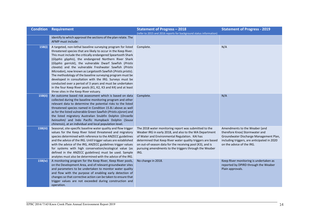|          | <b>Condition Requirement</b>                                                                                                                                                                                                                                                                                                                                                                                                                                                                                                                                                                                                                                                                                                                      | <b>Statement of Progress - 2018</b><br>(refer to 2015 and 2016 reports for background status information)                                                                                                                                                                                                                                                        | <b>Statement of Progress - 2019</b>                                                                                                                                                   |
|----------|---------------------------------------------------------------------------------------------------------------------------------------------------------------------------------------------------------------------------------------------------------------------------------------------------------------------------------------------------------------------------------------------------------------------------------------------------------------------------------------------------------------------------------------------------------------------------------------------------------------------------------------------------------------------------------------------------------------------------------------------------|------------------------------------------------------------------------------------------------------------------------------------------------------------------------------------------------------------------------------------------------------------------------------------------------------------------------------------------------------------------|---------------------------------------------------------------------------------------------------------------------------------------------------------------------------------------|
|          | identify to which approval the sections of the plan relate. The<br>AFMP must include:                                                                                                                                                                                                                                                                                                                                                                                                                                                                                                                                                                                                                                                             |                                                                                                                                                                                                                                                                                                                                                                  |                                                                                                                                                                                       |
| 15B(i)   | A targeted, non-lethal baseline surveying program for listed<br>threatened species that are likely to occur in the Keep River.<br>This must include the critically endangered Speartooth Shark<br>(Glyphis glyphis), the endangered Northern River Shark<br>(Glyphis garricki), the vulnerable Dwarf Sawfish (Pristis<br>clavata) and the vulnerable Freshwater Sawfish (Pristis<br>Microdon), now known as Largetooth Sawfish (Pristis pristis).<br>The methodology of the baseline surveying program must be<br>developed in consultation with the IRG. Surveys must be<br>conducted over a period of 3 years and must be undertaken<br>in the four Keep River pools (K1, K2, K3 and K4) and at least<br>three sites in the Keep River estuary. | Complete.                                                                                                                                                                                                                                                                                                                                                        | N/A                                                                                                                                                                                   |
| 15B(ii)  | An outcome based risk assessment which is based on data<br>collected during the baseline monitoring program and other<br>relevant data to determine the potential risks to the listed<br>threatened species named in Condition 15.B.i above as well<br>as for the listed vulnerable Green Sawfish (Pristis zijsron) and<br>the listed migratory Australian Snubfin Dolphin (Orcaella<br>heinsohm) and Indo Pacific Humpback Dolphin (Sousa<br>chinensis), at an individual and local population level.                                                                                                                                                                                                                                            | Complete.                                                                                                                                                                                                                                                                                                                                                        | N/A                                                                                                                                                                                   |
| 15B(iii) | Seasonal, site-specific baseline water quality and flow trigger<br>values for the Keep River listed threatened and migratory<br>species determined with reference to the ANZECC guidelines<br>and the advice of the IRG. Until trigger values are established<br>with the advice of the IRG, ANZECC guidelines trigger values<br>for systems with high conservation/ecological value (as<br>defined in the ANZECC guidelines) must be used. Sample<br>analytes must also be determined with the advice of the IRG.                                                                                                                                                                                                                                | The 2018 water monitoring report was submitted to the<br>Weaber IRG in early 2018, and also to the WA Department<br>of Water and Environmental Regulation. KAI has<br>determined that Keep River water quality triggers are based<br>on out-of-season data for the receiving pool (K3), and is<br>pursuing amendments to the triggers through the Weaber<br>IRG. | Amendments to the Weaber (and<br>therefore Knox) Stormwater and<br>Groundwater Discharge Management Plan,<br>including triggers, are anticipated in 2020<br>on the advice of the IRG. |
| 15B(iv)  | A monitoring program for the Keep River, Keep River pools,<br>on the Development Area, and of relevant groundwater sites<br>and parameters to be undertaken to monitor water quality<br>and flow with the purpose of enabling early detection of<br>changes so that corrective action can be taken to ensure that<br>trigger values are not exceeded during construction and<br>operation.                                                                                                                                                                                                                                                                                                                                                        | No change in 2018.                                                                                                                                                                                                                                                                                                                                               | Keep River monitoring is undertaken as<br>reported by DPIRD through the Weaber<br>Plain approvals.                                                                                    |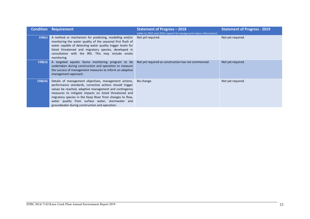|          | <b>Condition Requirement</b>                                                                                                                                                                                                                                                                                                                                                                                       | <b>Statement of Progress - 2018</b><br>(refer to 2015 and 2016 reports for background status information) | <b>Statement of Progress - 2019</b> |
|----------|--------------------------------------------------------------------------------------------------------------------------------------------------------------------------------------------------------------------------------------------------------------------------------------------------------------------------------------------------------------------------------------------------------------------|-----------------------------------------------------------------------------------------------------------|-------------------------------------|
| 15B(v)   | A method or mechanism for predicting, modelling and/or<br>monitoring the water quality of the seasonal first flush of<br>water capable of detecting water quality trigger levels for<br>listed threatened and migratory species, developed in<br>consultation with the IRG. This may include onsite<br>monitoring.                                                                                                 | Not yet required.                                                                                         | Not yet required.                   |
| 15B(vi)  | A targeted aquatic fauna monitoring program to be<br>undertaken during construction and operation to measure<br>the success of management measures to inform an adaptive<br>management approach.                                                                                                                                                                                                                   | Not yet required as construction has not commenced.                                                       | Not yet required.                   |
| 15B(vii) | Details of management objectives, management actions, No change.<br>performance standards, corrective actions should trigger<br>values be reached, adaptive management and contingency<br>measures to mitigate impacts on listed threatened and<br>migratory species in the Keep River from changes to flow,<br>water quality from surface water, stormwater and<br>groundwater during construction and operation. |                                                                                                           | Not yet required.                   |